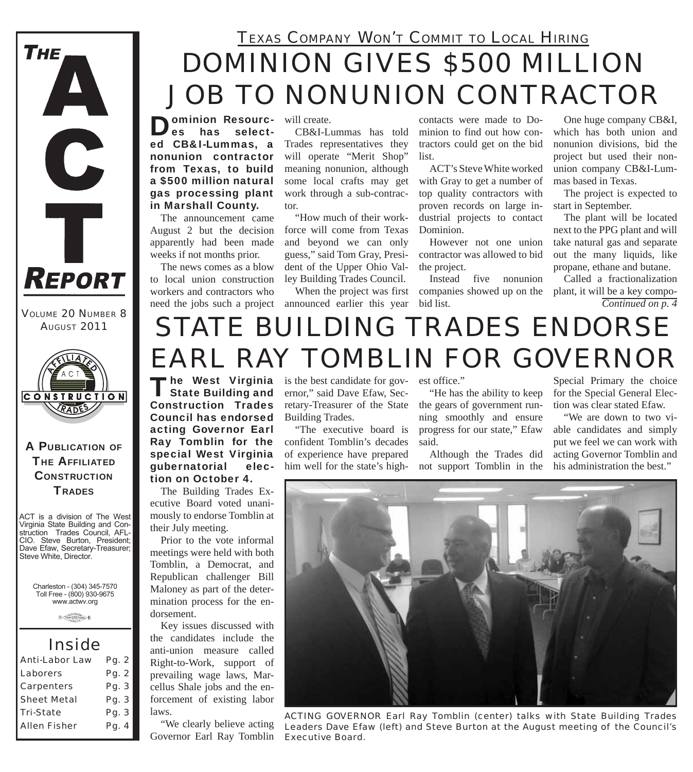

*VOLUME 20 NUMBER 8 AUGUST 2011*



### A PUBLICATION OF **THE AFFILIATED CONSTRUCTION TRADES**

ACT is a division of The West Virginia State Building and Construction Trades Council, AFL-CIO. Steve Burton, President; Dave Efaw, Secretary-Treasurer; Steve White, Director.

Charleston - (304) 345-7570 Toll Free - (800) 930-9675 www.actwv.org

 $A$  (There are not convert)  $6$ 

### *Inside*

| Pg. 2 |
|-------|
| Pg. 2 |
| Pg. 3 |
| Pg. 3 |
| Pg. 3 |
| Pg. 4 |
|       |

### *DOMINION GIVES \$500 MILLION JOB TO NONUNION CONTRACTOR TEXAS COMPANY WON'T COMMIT TO LOCAL HIRING*

will create.

**Ominion Resourc-<br>Les bas select**has selected CB&I-Lummas, a nonunion contractor from Texas, to build a \$500 million natural gas processing plant in Marshall County.

The announcement came August 2 but the decision apparently had been made weeks if not months prior.

The news comes as a blow to local union construction workers and contractors who

CB&I-Lummas has told Trades representatives they will operate "Merit Shop" meaning nonunion, although some local crafts may get

tor. "How much of their workforce will come from Texas and beyond we can only guess," said Tom Gray, President of the Upper Ohio Valley Building Trades Council.

work through a sub-contrac-

need the jobs such a project announced earlier this year

contacts were made to Dominion to find out how contractors could get on the bid list.

ACT's Steve White worked with Gray to get a number of top quality contractors with proven records on large industrial projects to contact Dominion.

However not one union contractor was allowed to bid the project.

When the project was first companies showed up on the Instead five nonunion bid list.

One huge company CB&I, which has both union and nonunion divisions, bid the project but used their nonunion company CB&I-Lummas based in Texas.

The project is expected to start in September.

The plant will be located next to the PPG plant and will take natural gas and separate out the many liquids, like propane, ethane and butane.

Called a fractionalization plant, it will be a key compo-*Continued on p. 4*

# *STATE BUILDING TRADES ENDORSE EARL RAY TOMBLIN FOR GOVERNOR*

The West Virginia<br>State Building and Construction Trades Council has endorsed acting Governor Earl Ray Tomblin for the special West Virginia gubernatorial election on October 4.

The Building Trades Executive Board voted unanimously to endorse Tomblin at their July meeting.

Prior to the vote informal meetings were held with both Tomblin, a Democrat, and Republican challenger Bill Maloney as part of the determination process for the endorsement.

Key issues discussed with the candidates include the anti-union measure called Right-to-Work, support of prevailing wage laws, Marcellus Shale jobs and the enforcement of existing labor laws.

"We clearly believe acting Governor Earl Ray Tomblin

**he West Virginia** is the best candidate for governor," said Dave Efaw, Secretary-Treasurer of the State Building Trades.

> "The executive board is confident Tomblin's decades of experience have prepared him well for the state's high-not support Tomblin in the

est office."

"He has the ability to keep the gears of government running smoothly and ensure progress for our state," Efaw said.

Although the Trades did

Special Primary the choice for the Special General Election was clear stated Efaw.

"We are down to two viable candidates and simply put we feel we can work with acting Governor Tomblin and his administration the best."



*ACTING GOVERNOR Earl Ray Tomblin (center) talks with State Building Trades Leaders Dave Efaw (left) and Steve Burton at the August meeting of the Council's Executive Board.*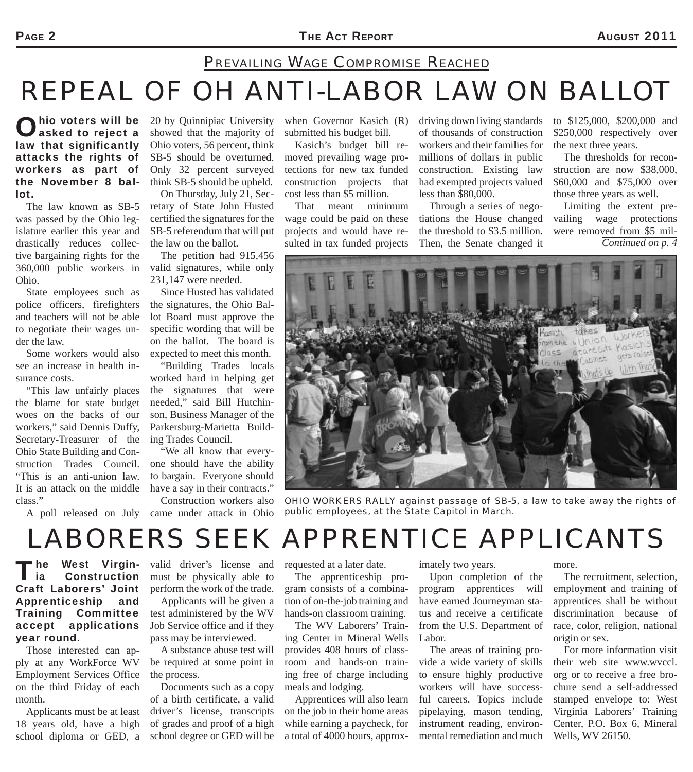### *REPEAL OF OH ANTI-LABOR LAW ON BALLOT PREVAILING WAGE COMPROMISE REACHED*

hio voters will be asked to reject a law that significantly attacks the rights of workers as part of the November 8 ballot.

The law known as SB-5 was passed by the Ohio legislature earlier this year and drastically reduces collective bargaining rights for the 360,000 public workers in Ohio.

State employees such as police officers, firefighters and teachers will not be able to negotiate their wages under the law.

Some workers would also see an increase in health insurance costs.

"This law unfairly places the blame for state budget woes on the backs of our workers," said Dennis Duffy, Secretary-Treasurer of the Ohio State Building and Construction Trades Council. "This is an anti-union law. It is an attack on the middle class."

20 by Quinnipiac University showed that the majority of Ohio voters, 56 percent, think SB-5 should be overturned. Only 32 percent surveyed think SB-5 should be upheld.

On Thursday, July 21, Secretary of State John Husted certified the signatures for the SB-5 referendum that will put the law on the ballot.

The petition had 915,456 valid signatures, while only 231,147 were needed.

Since Husted has validated the signatures, the Ohio Ballot Board must approve the specific wording that will be on the ballot. The board is expected to meet this month.

"Building Trades locals worked hard in helping get the signatures that were needed," said Bill Hutchinson, Business Manager of the Parkersburg-Marietta Building Trades Council.

"We all know that everyone should have the ability to bargain. Everyone should have a say in their contracts."

A poll released on July came under attack in Ohio Construction workers also

when Governor Kasich (R) submitted his budget bill.

Kasich's budget bill removed prevailing wage protections for new tax funded construction projects that cost less than \$5 million.

That meant minimum wage could be paid on these projects and would have resulted in tax funded projects driving down living standards of thousands of construction workers and their families for millions of dollars in public construction. Existing law had exempted projects valued less than \$80,000.

Through a series of negotiations the House changed the threshold to \$3.5 million. Then, the Senate changed it to \$125,000, \$200,000 and \$250,000 respectively over the next three years.

The thresholds for reconstruction are now \$38,000, \$60,000 and \$75,000 over those three years as well.

Limiting the extent prevailing wage protections were removed from \$5 mil-*Continued on p. 4*



*OHIO WORKERS RALLY against passage of SB-5, a law to take away the rights of public employees, at the State Capitol in March.*

## *LABORERS SEEK APPRENTICE APPLICANTS*

#### The West Virgin- valid driver's license and<br>
ia Construction must be physically able to l ia Construction Craft Laborers' Joint Apprenticeship and Training Committee accept applications year round.

Those interested can apply at any WorkForce WV Employment Services Office on the third Friday of each month.

Applicants must be at least 18 years old, have a high school diploma or GED, a

must be physically able to perform the work of the trade.

Applicants will be given a test administered by the WV Job Service office and if they pass may be interviewed.

A substance abuse test will be required at some point in the process.

Documents such as a copy of a birth certificate, a valid driver's license, transcripts of grades and proof of a high school degree or GED will be requested at a later date.

The apprenticeship program consists of a combination of on-the-job training and hands-on classroom training.

The WV Laborers' Training Center in Mineral Wells provides 408 hours of classroom and hands-on training free of charge including meals and lodging.

Apprentices will also learn on the job in their home areas while earning a paycheck, for a total of 4000 hours, approximately two years.

Upon completion of the program apprentices will have earned Journeyman status and receive a certificate from the U.S. Department of Labor.

The areas of training provide a wide variety of skills to ensure highly productive workers will have successful careers. Topics include pipelaying, mason tending, instrument reading, environmental remediation and much

more.

The recruitment, selection, employment and training of apprentices shall be without discrimination because of race, color, religion, national origin or sex.

For more information visit their web site www.wvccl. org or to receive a free brochure send a self-addressed stamped envelope to: West Virginia Laborers' Training Center, P.O. Box 6, Mineral Wells, WV 26150.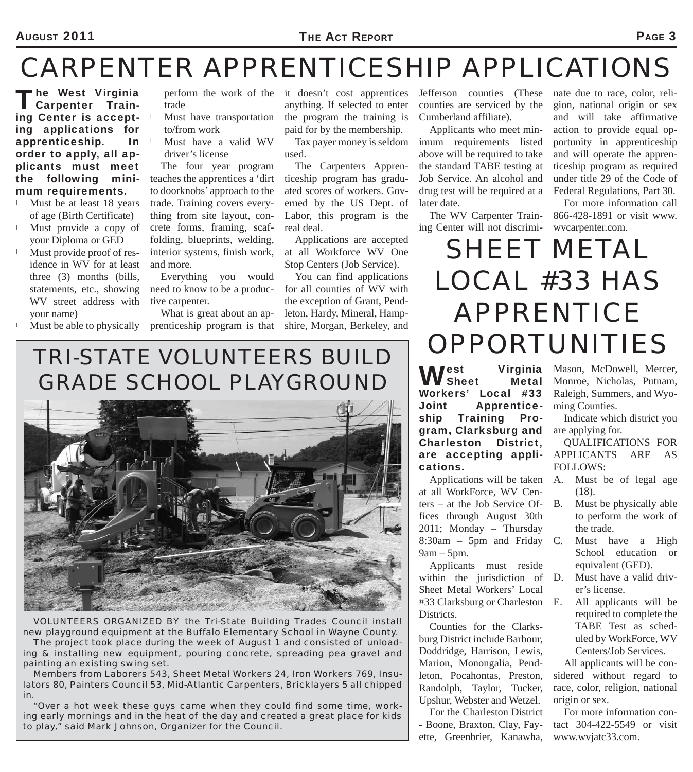# *CARPENTER APPRENTICESHIP APPLICATIONS*

The West Virginia<br>
Carpenter Training Center is accepting applications for apprenticeship. In order to apply, all applicants must meet the following minimum requirements.

- Must be at least 18 years of age (Birth Certificate)
- Must provide a copy of your Diploma or GED
- Must provide proof of residence in WV for at least three (3) months (bills, statements, etc., showing WV street address with your name)
- Must be able to physically

trade

- $\perp$  Must have transportation to/from work
- Must have a valid WV driver's license

The four year program teaches the apprentices a 'dirt to doorknobs' approach to the trade. Training covers everything from site layout, concrete forms, framing, scaffolding, blueprints, welding, interior systems, finish work, and more.

Everything you would need to know to be a productive carpenter.

What is great about an apprenticeship program is that

perform the work of the it doesn't cost apprentices anything. If selected to enter the program the training is paid for by the membership.

> Tax payer money is seldom used.

The Carpenters Apprenticeship program has graduated scores of workers. Governed by the US Dept. of Labor, this program is the real deal.

Applications are accepted at all Workforce WV One Stop Centers (Job Service).

You can find applications for all counties of WV with the exception of Grant, Pendleton, Hardy, Mineral, Hampshire, Morgan, Berkeley, and

Jefferson counties (These counties are serviced by the Cumberland affiliate).

Applicants who meet minimum requirements listed above will be required to take the standard TABE testing at Job Service. An alcohol and drug test will be required at a later date.

The WV Carpenter Training Center will not discrimi-wvcarpenter.com.

nate due to race, color, religion, national origin or sex and will take affirmative action to provide equal opportunity in apprenticeship and will operate the apprenticeship program as required under title 29 of the Code of Federal Regulations, Part 30.

For more information call 866-428-1891 or visit www.

# *SHEET METAL LOCAL #33 HAS APPRENTICE OPPORTUNITIES*

**West Virginia**<br> **West Metal** Workers' Local #33 Joint Apprenticeship Training Program, Clarksburg and Charleston District, are accepting applications.

at all WorkForce, WV Centers – at the Job Service Offices through August 30th 2011; Monday – Thursday  $8:30$ am – 5pm and Friday C.  $9am - 5pm.$ 

Applicants must reside within the jurisdiction of D. Sheet Metal Workers' Local #33 Clarksburg or Charleston Districts.

Counties for the Clarksburg District include Barbour, Doddridge, Harrison, Lewis, Marion, Monongalia, Pendleton, Pocahontas, Preston, Randolph, Taylor, Tucker, Upshur, Webster and Wetzel.

For the Charleston District - Boone, Braxton, Clay, Fayette, Greenbrier, Kanawha,

Virginia Mason, McDowell, Mercer, Monroe, Nicholas, Putnam, Raleigh, Summers, and Wyoming Counties.

> Indicate which district you are applying for.

> QUALIFICATIONS FOR APPLICANTS ARE AS FOLLOWS:

- Applications will be taken A. Must be of legal age (18).
	- Must be physically able to perform the work of the trade.
	- Must have a High School education or equivalent (GED).
	- Must have a valid driver's license.
		- All applicants will be required to complete the TABE Test as scheduled by WorkForce, WV Centers/Job Services.

All applicants will be considered without regard to race, color, religion, national origin or sex.

For more information contact 304-422-5549 or visit www.wvjatc33.com.

### *TRI-STATE VOLUNTEERS BUILD GRADE SCHOOL PLAYGROUND*



*VOLUNTEERS ORGANIZED BY the Tri-State Building Trades Council install new playground equipment at the Buffalo Elementary School in Wayne County. The project took place during the week of August 1 and consisted of unloading & installing new equipment, pouring concrete, spreading pea gravel and* 

*painting an existing swing set. Members from Laborers 543, Sheet Metal Workers 24, Iron Workers 769, Insulators 80, Painters Council 53, Mid-Atlantic Carpenters, Bricklayers 5 all chipped* 

*in. "Over a hot week these guys came when they could find some time, working early mornings and in the heat of the day and created a great place for kids to play," said Mark Johnson, Organizer for the Council.*